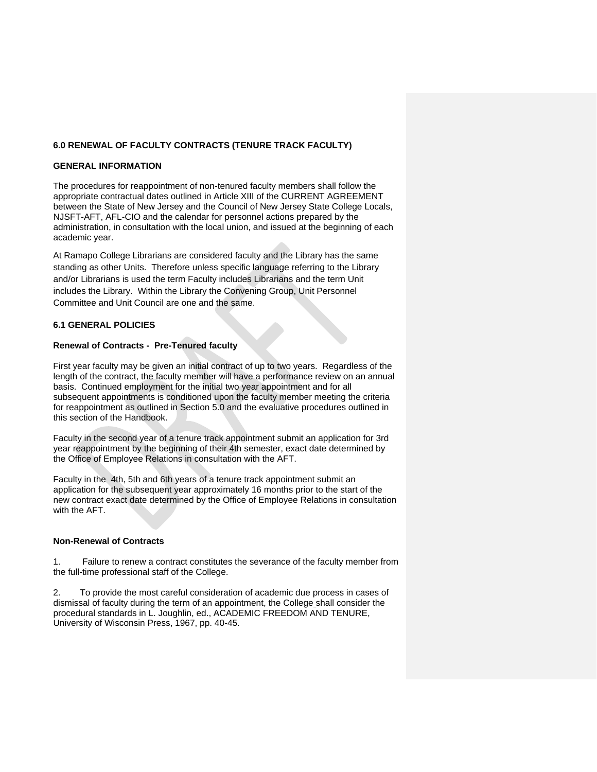### **6.0 RENEWAL OF FACULTY CONTRACTS (TENURE TRACK FACULTY)**

#### **GENERAL INFORMATION**

The procedures for reappointment of non-tenured faculty members shall follow the appropriate contractual dates outlined in Article XIII of the CURRENT AGREEMENT between the State of New Jersey and the Council of New Jersey State College Locals, NJSFT-AFT, AFL-CIO and the calendar for personnel actions prepared by the administration, in consultation with the local union, and issued at the beginning of each academic year.

At Ramapo College Librarians are considered faculty and the Library has the same standing as other Units. Therefore unless specific language referring to the Library and/or Librarians is used the term Faculty includes Librarians and the term Unit includes the Library. Within the Library the Convening Group, Unit Personnel Committee and Unit Council are one and the same.

#### **6.1 GENERAL POLICIES**

#### **Renewal of Contracts - Pre-Tenured faculty**

First year faculty may be given an initial contract of up to two years. Regardless of the length of the contract, the faculty member will have a performance review on an annual basis. Continued employment for the initial two year appointment and for all subsequent appointments is conditioned upon the faculty member meeting the criteria for reappointment as outlined in Section 5.0 and the evaluative procedures outlined in this section of the Handbook.

Faculty in the second year of a tenure track appointment submit an application for 3rd year reappointment by the beginning of their 4th semester, exact date determined by the Office of Employee Relations in consultation with the AFT.

Faculty in the 4th, 5th and 6th years of a tenure track appointment submit an application for the subsequent year approximately 16 months prior to the start of the new contract exact date determined by the Office of Employee Relations in consultation with the AFT.

#### **Non-Renewal of Contracts**

1. Failure to renew a contract constitutes the severance of the faculty member from the full-time professional staff of the College.

2. To provide the most careful consideration of academic due process in cases of dismissal of faculty during the term of an appointment, the College shall consider the procedural standards in L. Joughlin, ed., ACADEMIC FREEDOM AND TENURE, University of Wisconsin Press, 1967, pp. 40-45.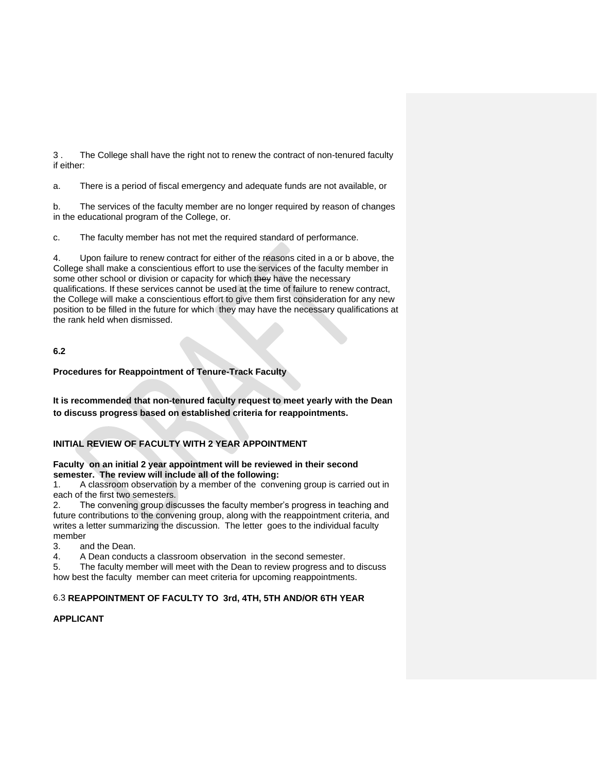3 . The College shall have the right not to renew the contract of non-tenured faculty if either:

a. There is a period of fiscal emergency and adequate funds are not available, or

b. The services of the faculty member are no longer required by reason of changes in the educational program of the College, or.

c. The faculty member has not met the required standard of performance.

4. Upon failure to renew contract for either of the reasons cited in a or b above, the College shall make a conscientious effort to use the services of the faculty member in some other school or division or capacity for which they have the necessary qualifications. If these services cannot be used at the time of failure to renew contract, the College will make a conscientious effort to give them first consideration for any new position to be filled in the future for which they may have the necessary qualifications at the rank held when dismissed.

# **6.2**

### **Procedures for Reappointment of Tenure-Track Faculty**

**It is recommended that non-tenured faculty request to meet yearly with the Dean to discuss progress based on established criteria for reappointments.**

# **INITIAL REVIEW OF FACULTY WITH 2 YEAR APPOINTMENT**

#### **Faculty on an initial 2 year appointment will be reviewed in their second semester. The review will include all of the following:**

1. A classroom observation by a member of the convening group is carried out in each of the first two semesters.

2. The convening group discusses the faculty member's progress in teaching and future contributions to the convening group, along with the reappointment criteria, and writes a letter summarizing the discussion. The letter goes to the individual faculty member

3. and the Dean.

4. A Dean conducts a classroom observation in the second semester.

5. The faculty member will meet with the Dean to review progress and to discuss how best the faculty member can meet criteria for upcoming reappointments.

# 6.3 **REAPPOINTMENT OF FACULTY TO 3rd, 4TH, 5TH AND/OR 6TH YEAR**

### **APPLICANT**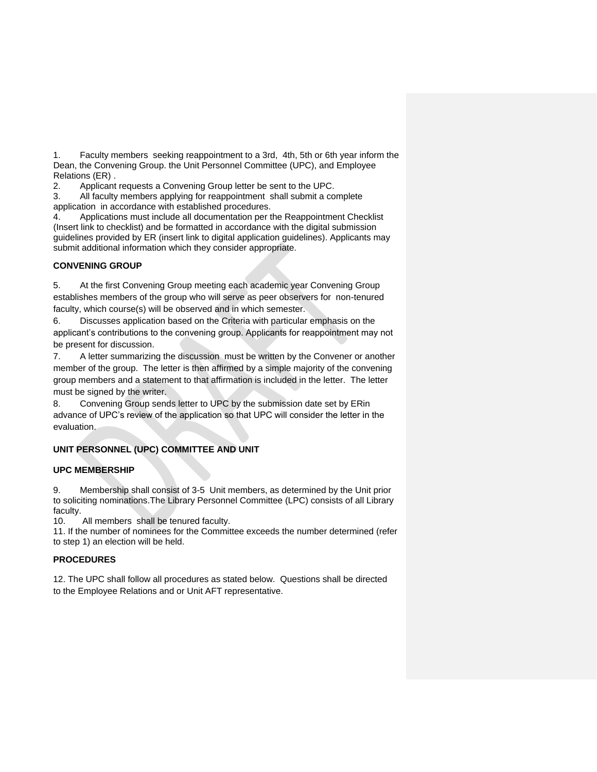1. Faculty members seeking reappointment to a 3rd, 4th, 5th or 6th year inform the Dean, the Convening Group. the Unit Personnel Committee (UPC), and Employee Relations (ER) .

2. Applicant requests a Convening Group letter be sent to the UPC.

3. All faculty members applying for reappointment shall submit a complete application in accordance with established procedures.

4. Applications must include all documentation per the Reappointment Checklist (Insert link to checklist) and be formatted in accordance with the digital submission guidelines provided by ER (insert link to digital application guidelines). Applicants may submit additional information which they consider appropriate.

# **CONVENING GROUP**

5. At the first Convening Group meeting each academic year Convening Group establishes members of the group who will serve as peer observers for non-tenured faculty, which course(s) will be observed and in which semester.

6. Discusses application based on the Criteria with particular emphasis on the applicant's contributions to the convening group. Applicants for reappointment may not be present for discussion.

7. A letter summarizing the discussion must be written by the Convener or another member of the group. The letter is then affirmed by a simple majority of the convening group members and a statement to that affirmation is included in the letter. The letter must be signed by the writer.

8. Convening Group sends letter to UPC by the submission date set by ERin advance of UPC's review of the application so that UPC will consider the letter in the evaluation.

# **UNIT PERSONNEL (UPC) COMMITTEE AND UNIT**

### **UPC MEMBERSHIP**

9. Membership shall consist of 3-5 Unit members, as determined by the Unit prior to soliciting nominations.The Library Personnel Committee (LPC) consists of all Library faculty.

10. All members shall be tenured faculty.

11. If the number of nominees for the Committee exceeds the number determined (refer to step 1) an election will be held.

# **PROCEDURES**

12. The UPC shall follow all procedures as stated below. Questions shall be directed to the Employee Relations and or Unit AFT representative.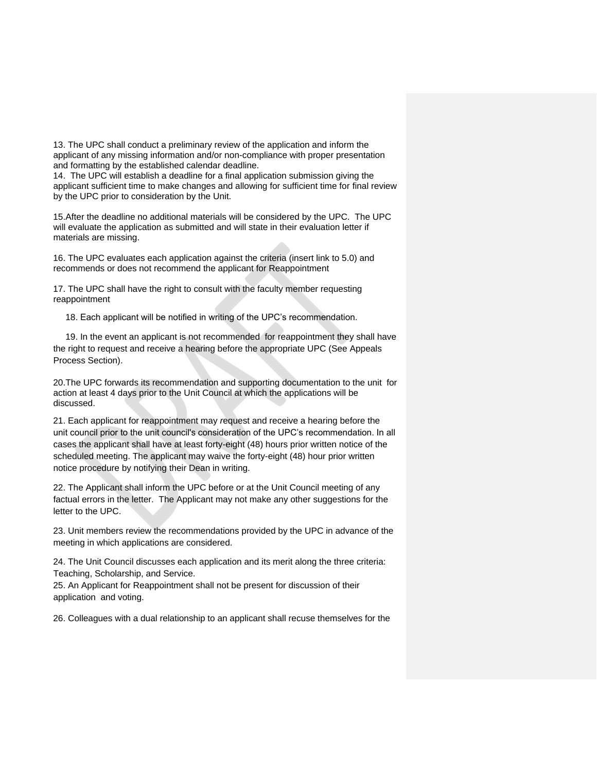13. The UPC shall conduct a preliminary review of the application and inform the applicant of any missing information and/or non-compliance with proper presentation and formatting by the established calendar deadline.

14. The UPC will establish a deadline for a final application submission giving the applicant sufficient time to make changes and allowing for sufficient time for final review by the UPC prior to consideration by the Unit.

15.After the deadline no additional materials will be considered by the UPC. The UPC will evaluate the application as submitted and will state in their evaluation letter if materials are missing.

16. The UPC evaluates each application against the criteria (insert link to 5.0) and recommends or does not recommend the applicant for Reappointment

17. The UPC shall have the right to consult with the faculty member requesting reappointment

18. Each applicant will be notified in writing of the UPC's recommendation.

 19. In the event an applicant is not recommended for reappointment they shall have the right to request and receive a hearing before the appropriate UPC (See Appeals Process Section).

20.The UPC forwards its recommendation and supporting documentation to the unit for action at least 4 days prior to the Unit Council at which the applications will be discussed.

21. Each applicant for reappointment may *r*equest and receive a hearing before the unit council prior to the unit council's consideration of the UPC's recommendation. In all cases the applicant shall have at least forty-eight (48) hours prior written notice of the scheduled meeting. The applicant may waive the forty-eight (48) hour prior written notice procedure by notifying their Dean in writing.

22. The Applicant shall inform the UPC before or at the Unit Council meeting of any factual errors in the letter. The Applicant may not make any other suggestions for the letter to the UPC.

23. Unit members review the recommendations provided by the UPC in advance of the meeting in which applications are considered.

24. The Unit Council discusses each application and its merit along the three criteria: Teaching, Scholarship, and Service.

25. An Applicant for Reappointment shall not be present for discussion of their application and voting.

26. Colleagues with a dual relationship to an applicant shall recuse themselves for the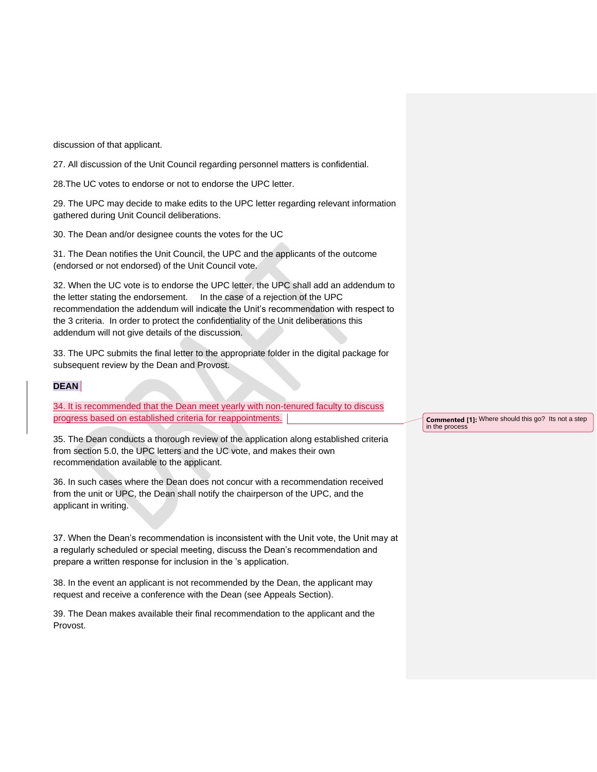discussion of that applicant.

27. All discussion of the Unit Council regarding personnel matters is confidential.

28.The UC votes to endorse or not to endorse the UPC letter.

29. The UPC may decide to make edits to the UPC letter regarding relevant information gathered during Unit Council deliberations.

30. The Dean and/or designee counts the votes for the UC

31. The Dean notifies the Unit Council, the UPC and the applicants of the outcome (endorsed or not endorsed) of the Unit Council vote.

32. When the UC vote is to endorse the UPC letter, the UPC shall add an addendum to the letter stating the endorsement. In the case of a rejection of the UPC recommendation the addendum will indicate the Unit's recommendation with respect to the 3 criteria. In order to protect the confidentiality of the Unit deliberations this addendum will not give details of the discussion.

33. The UPC submits the final letter to the appropriate folder in the digital package for subsequent review by the Dean and Provost.

### **DEAN**

34. It is recommended that the Dean meet yearly with non-tenured faculty to discuss progress based on established criteria for reappointments.

35. The Dean conducts a thorough review of the application along established criteria from section 5.0, the UPC letters and the UC vote, and makes their own recommendation available to the applicant.

36. In such cases where the Dean does not concur with a recommendation received from the unit or UPC, the Dean shall notify the chairperson of the UPC, and the applicant in writing.

37. When the Dean's recommendation is inconsistent with the Unit vote, the Unit may at a regularly scheduled or special meeting, discuss the Dean's recommendation and prepare a written response for inclusion in the 's application.

38. In the event an applicant is not recommended by the Dean, the applicant may request and receive a conference with the Dean (see Appeals Section).

39. The Dean makes available their final recommendation to the applicant and the Provost.

**Commented [1]:** Where should this go? Its not a step in the process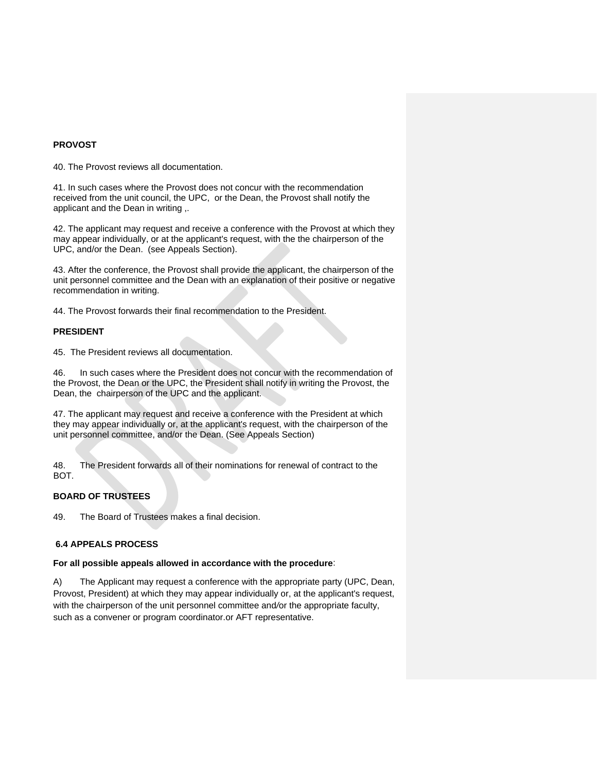#### **PROVOST**

40. The Provost reviews all documentation.

41. In such cases where the Provost does not concur with the recommendation received from the unit council, the UPC, or the Dean, the Provost shall notify the applicant and the Dean in writing ,.

42. The applicant may request and receive a conference with the Provost at which they may appear individually, or at the applicant's request, with the the chairperson of the UPC, and/or the Dean. (see Appeals Section).

43. After the conference, the Provost shall provide the applicant, the chairperson of the unit personnel committee and the Dean with an explanation of their positive or negative recommendation in writing.

44. The Provost forwards their final recommendation to the President.

#### **PRESIDENT**

45. The President reviews all documentation.

46. In such cases where the President does not concur with the recommendation of the Provost, the Dean or the UPC, the President shall notify in writing the Provost, the Dean, the chairperson of the UPC and the applicant.

47. The applicant may request and receive a conference with the President at which they may appear individually or, at the applicant's request, with the chairperson of the unit personnel committee, and/or the Dean. (See Appeals Section)

48. The President forwards all of their nominations for renewal of contract to the BOT.

#### **BOARD OF TRUSTEES**

49. The Board of Trustees makes a final decision.

#### **6.4 APPEALS PROCESS**

#### **For all possible appeals allowed in accordance with the procedure**:

A) The Applicant may request a conference with the appropriate party (UPC, Dean, Provost, President) at which they may appear individually or, at the applicant's request, with the chairperson of the unit personnel committee and*/*or the appropriate faculty, such as a convener or program coordinator.or AFT representative.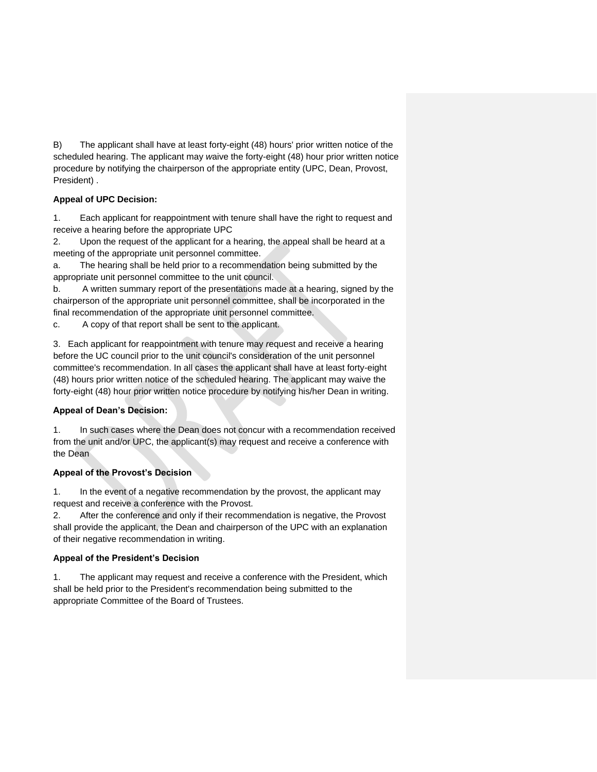B) The applicant shall have at least forty-eight (48) hours' prior written notice of the scheduled hearing. The applicant may *w*aive the forty-eight (48) hour prior written notice procedure by notifying the chairperson of the appropriate entity (UPC, Dean, Provost, President) .

# **Appeal of UPC Decision:**

1. Each applicant for reappointment with tenure shall have the right to request and receive a hearing before the appropriate UPC

2. Upon the request of the applicant for a hearing, the appeal shall be heard at a meeting of the appropriate unit personnel committee.

a. The hearing shall be held prior to a recommendation being submitted by the appropriate unit personnel committee to the unit council.

b. A written summary report of the presentations made at a hearing, signed by the chairperson of the appropriate unit personnel committee, shall be incorporated in the final recommendation of the appropriate unit personnel committee.

c. A copy of that report shall be sent to the applicant.

3. Each applicant for reappointment with tenure may *r*equest and receive a hearing before the UC council prior to the unit council's consideration of the unit personnel committee's recommendation. In all cases the applicant shall have at least forty-eight (48) hours prior written notice of the scheduled hearing. The applicant may waive the forty-eight (48) hour prior written notice procedure by notifying his/her Dean in writing.

# **Appeal of Dean's Decision:**

1. In such cases where the Dean does not concur with a recommendation received from the unit and/or UPC, the applicant(s) may request and receive a conference with the Dean

# **Appeal of the Provost's Decision**

1. In the event of a negative recommendation by the provost, the applicant may request and receive a conference with the Provost.

2. After the conference and only if their recommendation is negative, the Provost shall provide the applicant, the Dean and chairperson of the UPC with an explanation of their negative recommendation in writing.

# **Appeal of the President's Decision**

1. The applicant may request and receive a conference with the President, which shall be held prior to the President's recommendation being submitted to the appropriate Committee of the Board of Trustees.